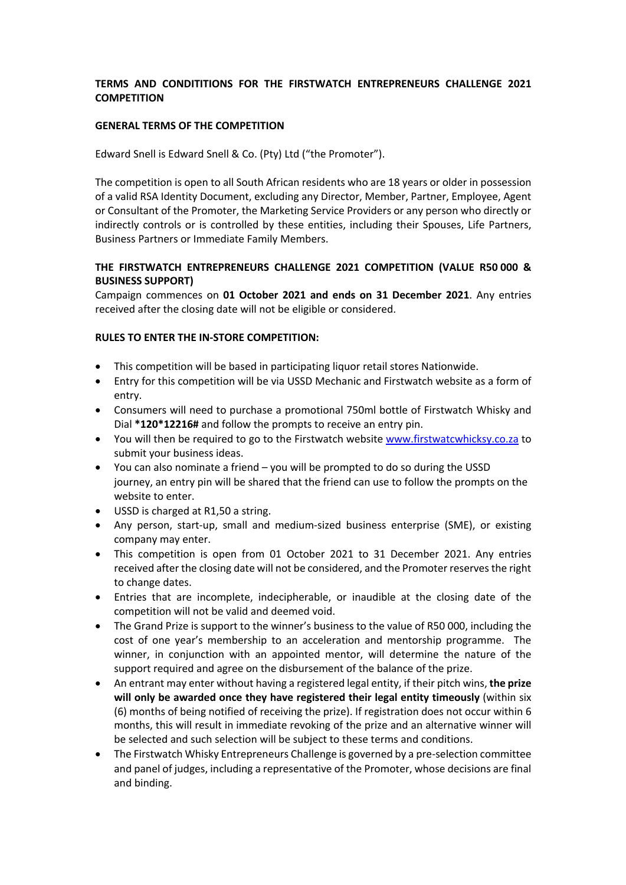# **TERMS AND CONDITITIONS FOR THE FIRSTWATCH ENTREPRENEURS CHALLENGE 2021 COMPETITION**

## **GENERAL TERMS OF THE COMPETITION**

Edward Snell is Edward Snell & Co. (Pty) Ltd ("the Promoter").

The competition is open to all South African residents who are 18 years or older in possession of a valid RSA Identity Document, excluding any Director, Member, Partner, Employee, Agent or Consultant of the Promoter, the Marketing Service Providers or any person who directly or indirectly controls or is controlled by these entities, including their Spouses, Life Partners, Business Partners or Immediate Family Members.

# **THE FIRSTWATCH ENTREPRENEURS CHALLENGE 2021 COMPETITION (VALUE R50 000 & BUSINESS SUPPORT)**

Campaign commences on **01 October 2021 and ends on 31 December 2021**. Any entries received after the closing date will not be eligible or considered.

### **RULES TO ENTER THE IN-STORE COMPETITION:**

- This competition will be based in participating liquor retail stores Nationwide.
- Entry for this competition will be via USSD Mechanic and Firstwatch website as a form of entry.
- Consumers will need to purchase a promotional 750ml bottle of Firstwatch Whisky and Dial **\*120\*12216#** and follow the prompts to receive an entry pin.
- You will then be required to go to the Firstwatch website www.firstwatcwhicksy.co.za to submit your business ideas.
- You can also nominate a friend you will be prompted to do so during the USSD journey, an entry pin will be shared that the friend can use to follow the prompts on the website to enter.
- USSD is charged at R1,50 a string.
- Any person, start-up, small and medium-sized business enterprise (SME), or existing company may enter.
- This competition is open from 01 October 2021 to 31 December 2021. Any entries received after the closing date will not be considered, and the Promoter reserves the right to change dates.
- Entries that are incomplete, indecipherable, or inaudible at the closing date of the competition will not be valid and deemed void.
- The Grand Prize is support to the winner's business to the value of R50 000, including the cost of one year's membership to an acceleration and mentorship programme. The winner, in conjunction with an appointed mentor, will determine the nature of the support required and agree on the disbursement of the balance of the prize.
- An entrant may enter without having a registered legal entity, if their pitch wins, **the prize will only be awarded once they have registered their legal entity timeously** (within six (6) months of being notified of receiving the prize). If registration does not occur within 6 months, this will result in immediate revoking of the prize and an alternative winner will be selected and such selection will be subject to these terms and conditions.
- The Firstwatch Whisky Entrepreneurs Challenge is governed by a pre-selection committee and panel of judges, including a representative of the Promoter, whose decisions are final and binding.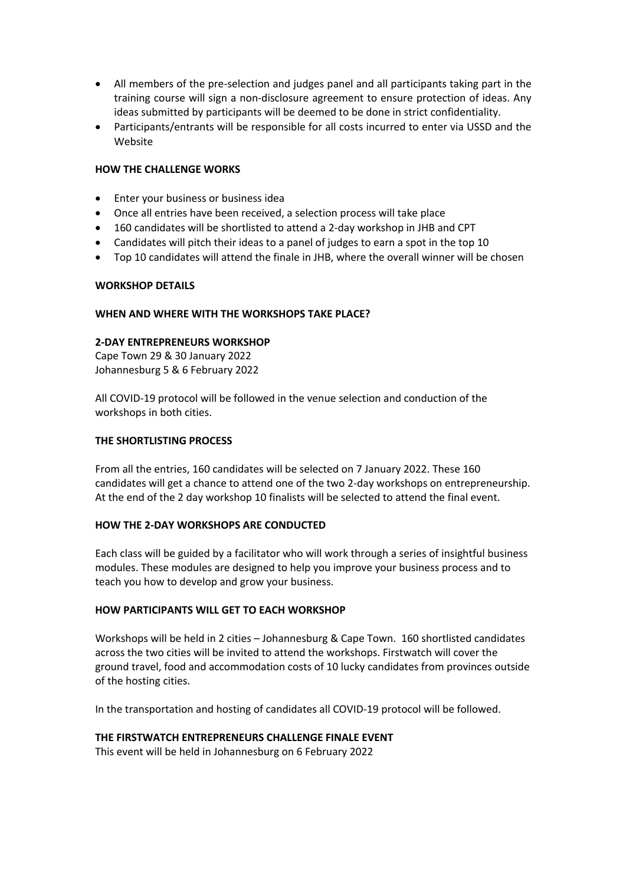- All members of the pre-selection and judges panel and all participants taking part in the training course will sign a non-disclosure agreement to ensure protection of ideas. Any ideas submitted by participants will be deemed to be done in strict confidentiality.
- Participants/entrants will be responsible for all costs incurred to enter via USSD and the Website

## **HOW THE CHALLENGE WORKS**

- Enter your business or business idea
- Once all entries have been received, a selection process will take place
- 160 candidates will be shortlisted to attend a 2-day workshop in JHB and CPT
- Candidates will pitch their ideas to a panel of judges to earn a spot in the top 10
- Top 10 candidates will attend the finale in JHB, where the overall winner will be chosen

### **WORKSHOP DETAILS**

### **WHEN AND WHERE WITH THE WORKSHOPS TAKE PLACE?**

### **2-DAY ENTREPRENEURS WORKSHOP**

Cape Town 29 & 30 January 2022 Johannesburg 5 & 6 February 2022

All COVID-19 protocol will be followed in the venue selection and conduction of the workshops in both cities.

#### **THE SHORTLISTING PROCESS**

From all the entries, 160 candidates will be selected on 7 January 2022. These 160 candidates will get a chance to attend one of the two 2-day workshops on entrepreneurship. At the end of the 2 day workshop 10 finalists will be selected to attend the final event.

### **HOW THE 2-DAY WORKSHOPS ARE CONDUCTED**

Each class will be guided by a facilitator who will work through a series of insightful business modules. These modules are designed to help you improve your business process and to teach you how to develop and grow your business.

### **HOW PARTICIPANTS WILL GET TO EACH WORKSHOP**

Workshops will be held in 2 cities – Johannesburg & Cape Town. 160 shortlisted candidates across the two cities will be invited to attend the workshops. Firstwatch will cover the ground travel, food and accommodation costs of 10 lucky candidates from provinces outside of the hosting cities.

In the transportation and hosting of candidates all COVID-19 protocol will be followed.

### **THE FIRSTWATCH ENTREPRENEURS CHALLENGE FINALE EVENT**

This event will be held in Johannesburg on 6 February 2022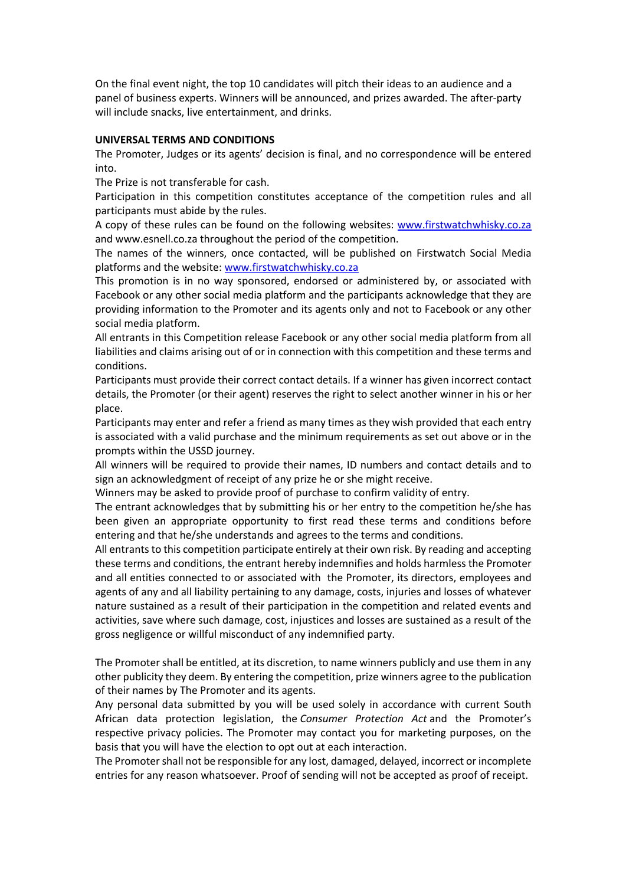On the final event night, the top 10 candidates will pitch their ideas to an audience and a panel of business experts. Winners will be announced, and prizes awarded. The after-party will include snacks, live entertainment, and drinks.

#### **UNIVERSAL TERMS AND CONDITIONS**

The Promoter, Judges or its agents' decision is final, and no correspondence will be entered into.

The Prize is not transferable for cash.

Participation in this competition constitutes acceptance of the competition rules and all participants must abide by the rules.

A copy of these rules can be found on the following websites: www.firstwatchwhisky.co.za and www.esnell.co.za throughout the period of the competition.

The names of the winners, once contacted, will be published on Firstwatch Social Media platforms and the website: www.firstwatchwhisky.co.za

This promotion is in no way sponsored, endorsed or administered by, or associated with Facebook or any other social media platform and the participants acknowledge that they are providing information to the Promoter and its agents only and not to Facebook or any other social media platform.

All entrants in this Competition release Facebook or any other social media platform from all liabilities and claims arising out of or in connection with this competition and these terms and conditions.

Participants must provide their correct contact details. If a winner has given incorrect contact details, the Promoter (or their agent) reserves the right to select another winner in his or her place.

Participants may enter and refer a friend as many times as they wish provided that each entry is associated with a valid purchase and the minimum requirements as set out above or in the prompts within the USSD journey.

All winners will be required to provide their names, ID numbers and contact details and to sign an acknowledgment of receipt of any prize he or she might receive.

Winners may be asked to provide proof of purchase to confirm validity of entry.

The entrant acknowledges that by submitting his or her entry to the competition he/she has been given an appropriate opportunity to first read these terms and conditions before entering and that he/she understands and agrees to the terms and conditions.

All entrants to this competition participate entirely at their own risk. By reading and accepting these terms and conditions, the entrant hereby indemnifies and holds harmless the Promoter and all entities connected to or associated with the Promoter, its directors, employees and agents of any and all liability pertaining to any damage, costs, injuries and losses of whatever nature sustained as a result of their participation in the competition and related events and activities, save where such damage, cost, injustices and losses are sustained as a result of the gross negligence or willful misconduct of any indemnified party.

The Promoter shall be entitled, at its discretion, to name winners publicly and use them in any other publicity they deem. By entering the competition, prize winners agree to the publication of their names by The Promoter and its agents.

Any personal data submitted by you will be used solely in accordance with current South African data protection legislation, the *Consumer Protection Act* and the Promoter's respective privacy policies. The Promoter may contact you for marketing purposes, on the basis that you will have the election to opt out at each interaction.

The Promoter shall not be responsible for any lost, damaged, delayed, incorrect or incomplete entries for any reason whatsoever. Proof of sending will not be accepted as proof of receipt.